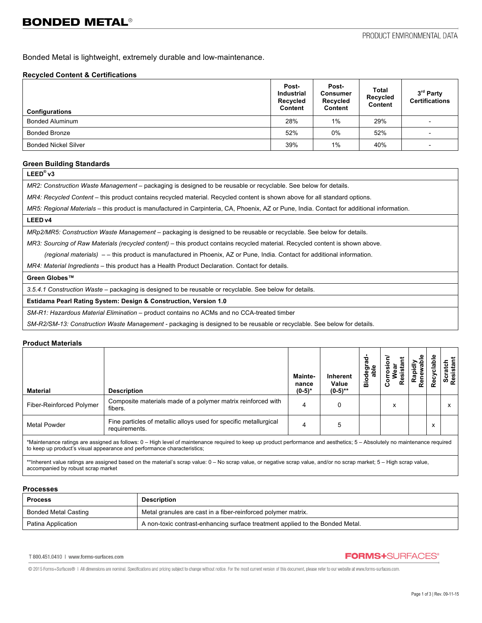Bonded Metal is lightweight, extremely durable and low-maintenance.

#### **Recycled Content & Certifications**

| <b>Configurations</b>       | Post-<br><b>Industrial</b><br>Recycled<br>Content | Post-<br><b>Consumer</b><br>Recycled<br><b>Content</b> | Total<br>Recycled<br>Content | 3rd Party<br><b>Certifications</b> |
|-----------------------------|---------------------------------------------------|--------------------------------------------------------|------------------------------|------------------------------------|
| <b>Bonded Aluminum</b>      | 28%                                               | 1%                                                     | 29%                          |                                    |
| <b>Bonded Bronze</b>        | 52%                                               | $0\%$                                                  | 52%                          | $\overline{\phantom{0}}$           |
| <b>Bonded Nickel Silver</b> | 39%                                               | 1%                                                     | 40%                          |                                    |

#### **Green Building Standards**

**LEED® v3**

*MR2: Construction Waste Management –* packaging is designed to be reusable or recyclable. See below for details.

*MR4: Recycled Content* – this product contains recycled material. Recycled content is shown above for all standard options.

*MR5: Regional Materials* – this product is manufactured in Carpinteria, CA, Phoenix, AZ or Pune, India. Contact for additional information.

**LEED v4**

*MRp2/MR5: Construction Waste Management –* packaging is designed to be reusable or recyclable. See below for details.

*MR3: Sourcing of Raw Materials (recycled content) - this product contains recycled material. Recycled content is shown above.* 

 *(regional materials)* – – this product is manufactured in Phoenix, AZ or Pune, India. Contact for additional information.

*MR4: Material Ingredients –* this product has a Health Product Declaration. Contact for details.

#### **Green Globes™**

*3.5.4.1 Construction Waste* – packaging is designed to be reusable or recyclable. See below for details.

#### **Estidama Pearl Rating System: Design & Construction, Version 1.0**

*SM-R1: Hazardous Material Elimination –* product contains no ACMs and no CCA-treated timber

*SM-R2/SM-13: Construction Waste Management -* packaging is designed to be reusable or recyclable. See below for details.

#### **Product Materials**

| <b>Material</b>                                                                                                                                                                                                                                       | <b>Description</b>                                                                 | Mainte-<br>nance<br>$(0-5)*$ | Inherent<br>Value<br>$(0-5)$ ** | ਹ<br>ঌ<br>႕ီ<br>ō<br>ő | Resista<br>Nea<br>۰<br>ن | napiuly<br>Renewable<br>Rapidl | clable<br>Rection Contributed Contrier Contributed Section Action Contributed Section Action Contributed Section Action Contributed Section Action Action Action Action Action Action Action Action Action Action Action Action Action A | Scratcn<br>Resistant |
|-------------------------------------------------------------------------------------------------------------------------------------------------------------------------------------------------------------------------------------------------------|------------------------------------------------------------------------------------|------------------------------|---------------------------------|------------------------|--------------------------|--------------------------------|------------------------------------------------------------------------------------------------------------------------------------------------------------------------------------------------------------------------------------------|----------------------|
| <b>Fiber-Reinforced Polymer</b>                                                                                                                                                                                                                       | Composite materials made of a polymer matrix reinforced with<br>fibers.            | 4                            |                                 |                        | x                        |                                |                                                                                                                                                                                                                                          | ^                    |
| Metal Powder                                                                                                                                                                                                                                          | Fine particles of metallic alloys used for specific metallurgical<br>requirements. | 4                            | 5                               |                        |                          |                                | x                                                                                                                                                                                                                                        |                      |
| *Maintenance ratings are assigned as follows: 0 – High level of maintenance required to keep up product performance and aesthetics; 5 – Absolutely no maintenance required<br>to keep up product's visual appearance and performance characteristics; |                                                                                    |                              |                                 |                        |                          |                                |                                                                                                                                                                                                                                          |                      |
| **Inherent value ratings are assigned based on the material's scrap value: 0 – No scrap value, or negative scrap value, and/or no scrap market; 5 – High scrap value,<br>accompanied by robust scrap market                                           |                                                                                    |                              |                                 |                        |                          |                                |                                                                                                                                                                                                                                          |                      |

### **Processes**

| <b>Process</b>              | <b>Description</b>                                                            |
|-----------------------------|-------------------------------------------------------------------------------|
| <b>Bonded Metal Casting</b> | Metal granules are cast in a fiber-reinforced polymer matrix.                 |
| Patina Application          | A non-toxic contrast-enhancing surface treatment applied to the Bonded Metal. |

T 800.451.0410 | www.forms-surfaces.com

## **FORMS+SURFACES®**

© 2015 Forms+Surfaces® | All dimensions are nominal. Specifications and pricing subject to change without notice. For the most current version of this document, please refer to our website at www.forms-surfaces.com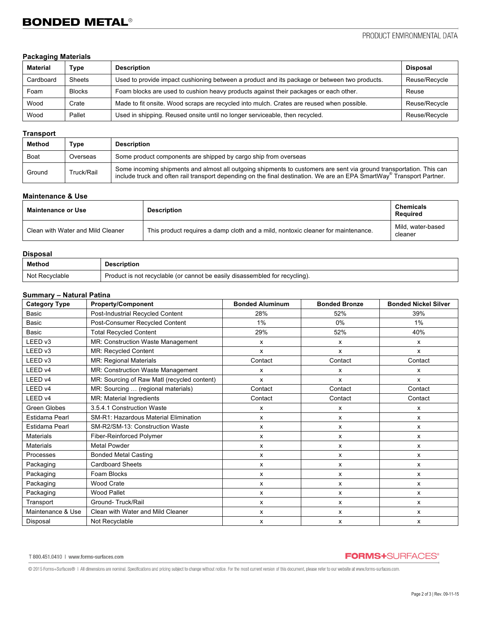### **Packaging Materials**

| <b>Material</b> | Type          | <b>Description</b>                                                                           | <b>Disposal</b> |
|-----------------|---------------|----------------------------------------------------------------------------------------------|-----------------|
| Cardboard       | <b>Sheets</b> | Used to provide impact cushioning between a product and its package or between two products. | Reuse/Recycle   |
| Foam            | <b>Blocks</b> | Foam blocks are used to cushion heavy products against their packages or each other.         | Reuse           |
| Wood            | Crate         | Made to fit onsite. Wood scraps are recycled into mulch. Crates are reused when possible.    | Reuse/Recycle   |
| Wood            | Pallet        | Used in shipping. Reused onsite until no longer serviceable, then recycled.                  | Reuse/Recycle   |

### **Transport**

| <b>Method</b> | Type       | <b>Description</b>                                                                                                                                                                                                                           |
|---------------|------------|----------------------------------------------------------------------------------------------------------------------------------------------------------------------------------------------------------------------------------------------|
| Boat          | Overseas   | Some product components are shipped by cargo ship from overseas                                                                                                                                                                              |
| Ground        | Truck/Rail | Some incoming shipments and almost all outgoing shipments to customers are sent via ground transportation. This can<br>include truck and often rail transport depending on the final destination. We are an EPA SmartWay® Transport Partner. |

### **Maintenance & Use**

| <b>Description</b>                |                                                                                  | <b>Chemicals</b>             |  |
|-----------------------------------|----------------------------------------------------------------------------------|------------------------------|--|
| Maintenance or Use                |                                                                                  | Reauired                     |  |
| Clean with Water and Mild Cleaner | This product requires a damp cloth and a mild, nontoxic cleaner for maintenance. | Mild. water-based<br>cleaner |  |

| <b>Disposal</b> |                                                                             |  |  |  |
|-----------------|-----------------------------------------------------------------------------|--|--|--|
| Method          | <b>Description</b>                                                          |  |  |  |
| Not Recyclable  | Product is not recyclable (or cannot be easily disassembled for recycling). |  |  |  |

### **Summary – Natural Patina**

| <b>Category Type</b> | <b>Property/Component</b>                    | <b>Bonded Aluminum</b> | <b>Bonded Bronze</b> | <b>Bonded Nickel Silver</b> |
|----------------------|----------------------------------------------|------------------------|----------------------|-----------------------------|
| <b>Basic</b>         | Post-Industrial Recycled Content             | 28%                    | 52%                  | 39%                         |
| Basic                | Post-Consumer Recycled Content               | $1\%$                  | 0%                   | 1%                          |
| <b>Basic</b>         | <b>Total Recycled Content</b>                | 29%                    | 52%                  | 40%                         |
| LEED v3              | MR: Construction Waste Management            | х                      | x                    | x                           |
| LEED v3              | MR: Recycled Content                         | x                      | X                    | x                           |
| LEED v3              | <b>MR: Regional Materials</b>                | Contact                | Contact              | Contact                     |
| LEED v4              | MR: Construction Waste Management            | X                      | X                    | X                           |
| LEED v4              | MR: Sourcing of Raw Matl (recycled content)  | x                      | X                    | x                           |
| LEED v4              | MR: Sourcing  (regional materials)           | Contact                | Contact              | Contact                     |
| LEED v4              | MR: Material Ingredients                     | Contact                | Contact              | Contact                     |
| <b>Green Globes</b>  | 3.5.4.1 Construction Waste                   | х                      | х                    | x                           |
| Estidama Pearl       | <b>SM-R1: Hazardous Material Elimination</b> | x                      | X                    | X                           |
| Estidama Pearl       | SM-R2/SM-13: Construction Waste              | x                      | x                    | x                           |
| <b>Materials</b>     | Fiber-Reinforced Polymer                     | x                      | x                    | x                           |
| <b>Materials</b>     | <b>Metal Powder</b>                          | x                      | X                    | x                           |
| Processes            | <b>Bonded Metal Casting</b>                  | X                      | x                    | X                           |
| Packaging            | <b>Cardboard Sheets</b>                      | X                      | X                    | X                           |
| Packaging            | Foam Blocks                                  | x                      | x                    | x                           |
| Packaging            | <b>Wood Crate</b>                            | x                      | X                    | $\mathsf{x}$                |
| Packaging            | <b>Wood Pallet</b>                           | X                      | X                    | X                           |
| Transport            | Ground-Truck/Rail                            | $\mathsf{x}$           | x                    | $\mathsf{x}$                |
| Maintenance & Use    | Clean with Water and Mild Cleaner            | x                      | x                    | X                           |
| Disposal             | Not Recyclable                               | x                      | X                    | x                           |

T 800.451.0410 | www.forms-surfaces.com

# **FORMS+**SURFACES®

@ 2015 Forms+Surfaces® | All dimensions are nominal. Specifications and pricing subject to change without notice. For the most current version of this document, please refer to our website at www.forms-surfaces.com.